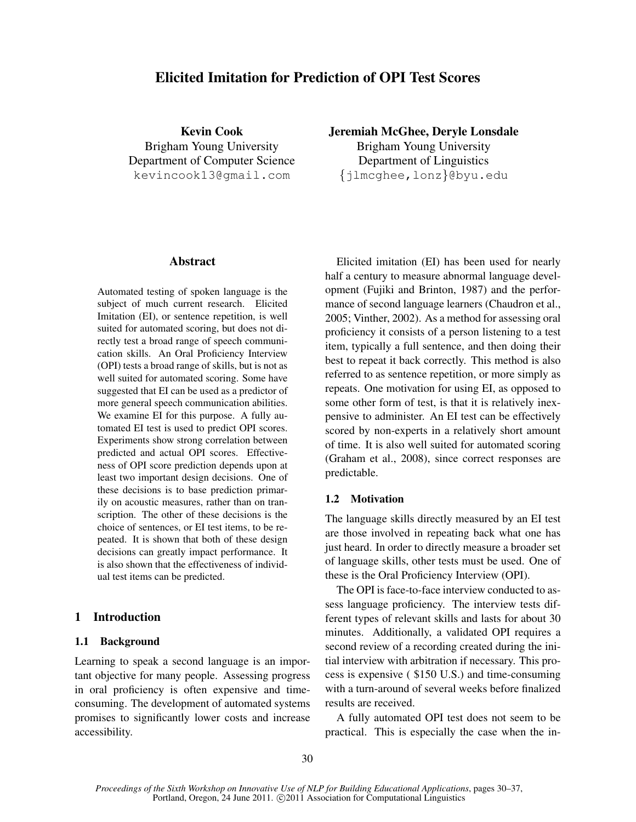# Elicited Imitation for Prediction of OPI Test Scores

Kevin Cook Brigham Young University Department of Computer Science kevincook13@gmail.com

### Abstract

Automated testing of spoken language is the subject of much current research. Elicited Imitation (EI), or sentence repetition, is well suited for automated scoring, but does not directly test a broad range of speech communication skills. An Oral Proficiency Interview (OPI) tests a broad range of skills, but is not as well suited for automated scoring. Some have suggested that EI can be used as a predictor of more general speech communication abilities. We examine EI for this purpose. A fully automated EI test is used to predict OPI scores. Experiments show strong correlation between predicted and actual OPI scores. Effectiveness of OPI score prediction depends upon at least two important design decisions. One of these decisions is to base prediction primarily on acoustic measures, rather than on transcription. The other of these decisions is the choice of sentences, or EI test items, to be repeated. It is shown that both of these design decisions can greatly impact performance. It is also shown that the effectiveness of individual test items can be predicted.

## 1 Introduction

#### 1.1 Background

Learning to speak a second language is an important objective for many people. Assessing progress in oral proficiency is often expensive and timeconsuming. The development of automated systems promises to significantly lower costs and increase accessibility.

Jeremiah McGhee, Deryle Lonsdale

Brigham Young University Department of Linguistics {jlmcghee,lonz}@byu.edu

Elicited imitation (EI) has been used for nearly half a century to measure abnormal language development (Fujiki and Brinton, 1987) and the performance of second language learners (Chaudron et al., 2005; Vinther, 2002). As a method for assessing oral proficiency it consists of a person listening to a test item, typically a full sentence, and then doing their best to repeat it back correctly. This method is also referred to as sentence repetition, or more simply as repeats. One motivation for using EI, as opposed to some other form of test, is that it is relatively inexpensive to administer. An EI test can be effectively scored by non-experts in a relatively short amount of time. It is also well suited for automated scoring (Graham et al., 2008), since correct responses are predictable.

#### 1.2 Motivation

The language skills directly measured by an EI test are those involved in repeating back what one has just heard. In order to directly measure a broader set of language skills, other tests must be used. One of these is the Oral Proficiency Interview (OPI).

The OPI is face-to-face interview conducted to assess language proficiency. The interview tests different types of relevant skills and lasts for about 30 minutes. Additionally, a validated OPI requires a second review of a recording created during the initial interview with arbitration if necessary. This process is expensive ( \$150 U.S.) and time-consuming with a turn-around of several weeks before finalized results are received.

A fully automated OPI test does not seem to be practical. This is especially the case when the in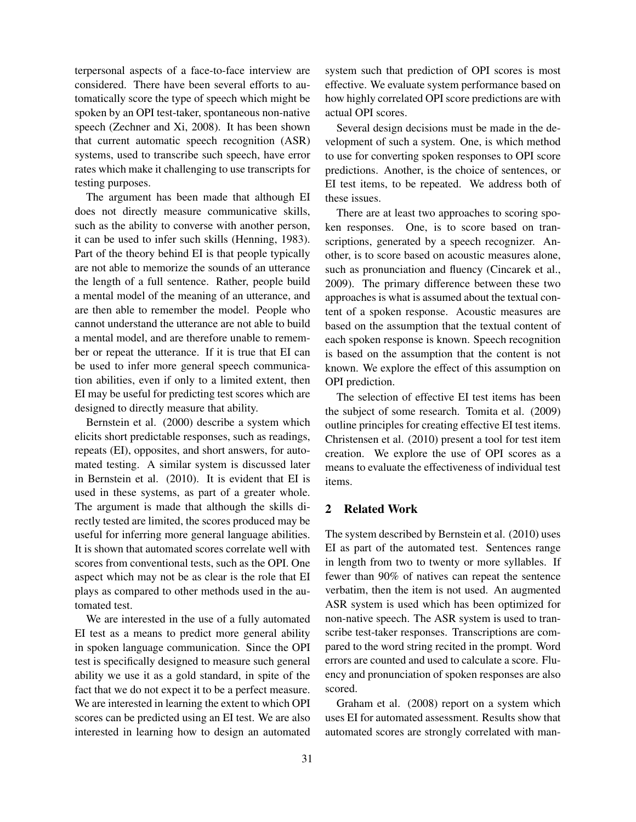terpersonal aspects of a face-to-face interview are considered. There have been several efforts to automatically score the type of speech which might be spoken by an OPI test-taker, spontaneous non-native speech (Zechner and Xi, 2008). It has been shown that current automatic speech recognition (ASR) systems, used to transcribe such speech, have error rates which make it challenging to use transcripts for testing purposes.

The argument has been made that although EI does not directly measure communicative skills, such as the ability to converse with another person, it can be used to infer such skills (Henning, 1983). Part of the theory behind EI is that people typically are not able to memorize the sounds of an utterance the length of a full sentence. Rather, people build a mental model of the meaning of an utterance, and are then able to remember the model. People who cannot understand the utterance are not able to build a mental model, and are therefore unable to remember or repeat the utterance. If it is true that EI can be used to infer more general speech communication abilities, even if only to a limited extent, then EI may be useful for predicting test scores which are designed to directly measure that ability.

Bernstein et al. (2000) describe a system which elicits short predictable responses, such as readings, repeats (EI), opposites, and short answers, for automated testing. A similar system is discussed later in Bernstein et al. (2010). It is evident that EI is used in these systems, as part of a greater whole. The argument is made that although the skills directly tested are limited, the scores produced may be useful for inferring more general language abilities. It is shown that automated scores correlate well with scores from conventional tests, such as the OPI. One aspect which may not be as clear is the role that EI plays as compared to other methods used in the automated test.

We are interested in the use of a fully automated EI test as a means to predict more general ability in spoken language communication. Since the OPI test is specifically designed to measure such general ability we use it as a gold standard, in spite of the fact that we do not expect it to be a perfect measure. We are interested in learning the extent to which OPI scores can be predicted using an EI test. We are also interested in learning how to design an automated system such that prediction of OPI scores is most effective. We evaluate system performance based on how highly correlated OPI score predictions are with actual OPI scores.

Several design decisions must be made in the development of such a system. One, is which method to use for converting spoken responses to OPI score predictions. Another, is the choice of sentences, or EI test items, to be repeated. We address both of these issues.

There are at least two approaches to scoring spoken responses. One, is to score based on transcriptions, generated by a speech recognizer. Another, is to score based on acoustic measures alone, such as pronunciation and fluency (Cincarek et al., 2009). The primary difference between these two approaches is what is assumed about the textual content of a spoken response. Acoustic measures are based on the assumption that the textual content of each spoken response is known. Speech recognition is based on the assumption that the content is not known. We explore the effect of this assumption on OPI prediction.

The selection of effective EI test items has been the subject of some research. Tomita et al. (2009) outline principles for creating effective EI test items. Christensen et al. (2010) present a tool for test item creation. We explore the use of OPI scores as a means to evaluate the effectiveness of individual test items.

### 2 Related Work

The system described by Bernstein et al. (2010) uses EI as part of the automated test. Sentences range in length from two to twenty or more syllables. If fewer than 90% of natives can repeat the sentence verbatim, then the item is not used. An augmented ASR system is used which has been optimized for non-native speech. The ASR system is used to transcribe test-taker responses. Transcriptions are compared to the word string recited in the prompt. Word errors are counted and used to calculate a score. Fluency and pronunciation of spoken responses are also scored.

Graham et al. (2008) report on a system which uses EI for automated assessment. Results show that automated scores are strongly correlated with man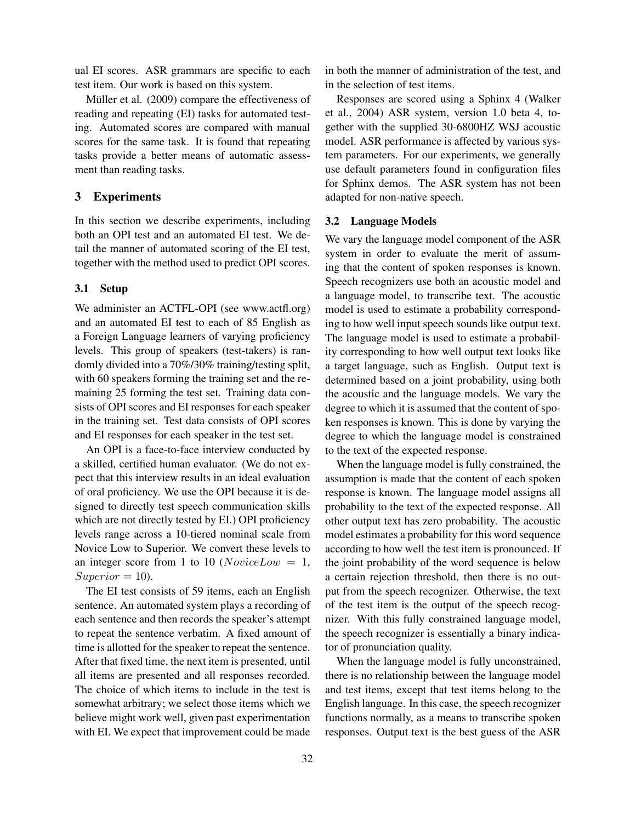ual EI scores. ASR grammars are specific to each test item. Our work is based on this system.

Müller et al. (2009) compare the effectiveness of reading and repeating (EI) tasks for automated testing. Automated scores are compared with manual scores for the same task. It is found that repeating tasks provide a better means of automatic assessment than reading tasks.

## 3 Experiments

In this section we describe experiments, including both an OPI test and an automated EI test. We detail the manner of automated scoring of the EI test, together with the method used to predict OPI scores.

#### 3.1 Setup

We administer an ACTFL-OPI (see www.actfl.org) and an automated EI test to each of 85 English as a Foreign Language learners of varying proficiency levels. This group of speakers (test-takers) is randomly divided into a 70%/30% training/testing split, with 60 speakers forming the training set and the remaining 25 forming the test set. Training data consists of OPI scores and EI responses for each speaker in the training set. Test data consists of OPI scores and EI responses for each speaker in the test set.

An OPI is a face-to-face interview conducted by a skilled, certified human evaluator. (We do not expect that this interview results in an ideal evaluation of oral proficiency. We use the OPI because it is designed to directly test speech communication skills which are not directly tested by EI.) OPI proficiency levels range across a 10-tiered nominal scale from Novice Low to Superior. We convert these levels to an integer score from 1 to 10 ( $NoviceLow = 1$ ,  $Superior = 10$ ).

The EI test consists of 59 items, each an English sentence. An automated system plays a recording of each sentence and then records the speaker's attempt to repeat the sentence verbatim. A fixed amount of time is allotted for the speaker to repeat the sentence. After that fixed time, the next item is presented, until all items are presented and all responses recorded. The choice of which items to include in the test is somewhat arbitrary; we select those items which we believe might work well, given past experimentation with EI. We expect that improvement could be made in both the manner of administration of the test, and in the selection of test items.

Responses are scored using a Sphinx 4 (Walker et al., 2004) ASR system, version 1.0 beta 4, together with the supplied 30-6800HZ WSJ acoustic model. ASR performance is affected by various system parameters. For our experiments, we generally use default parameters found in configuration files for Sphinx demos. The ASR system has not been adapted for non-native speech.

### 3.2 Language Models

We vary the language model component of the ASR system in order to evaluate the merit of assuming that the content of spoken responses is known. Speech recognizers use both an acoustic model and a language model, to transcribe text. The acoustic model is used to estimate a probability corresponding to how well input speech sounds like output text. The language model is used to estimate a probability corresponding to how well output text looks like a target language, such as English. Output text is determined based on a joint probability, using both the acoustic and the language models. We vary the degree to which it is assumed that the content of spoken responses is known. This is done by varying the degree to which the language model is constrained to the text of the expected response.

When the language model is fully constrained, the assumption is made that the content of each spoken response is known. The language model assigns all probability to the text of the expected response. All other output text has zero probability. The acoustic model estimates a probability for this word sequence according to how well the test item is pronounced. If the joint probability of the word sequence is below a certain rejection threshold, then there is no output from the speech recognizer. Otherwise, the text of the test item is the output of the speech recognizer. With this fully constrained language model, the speech recognizer is essentially a binary indicator of pronunciation quality.

When the language model is fully unconstrained, there is no relationship between the language model and test items, except that test items belong to the English language. In this case, the speech recognizer functions normally, as a means to transcribe spoken responses. Output text is the best guess of the ASR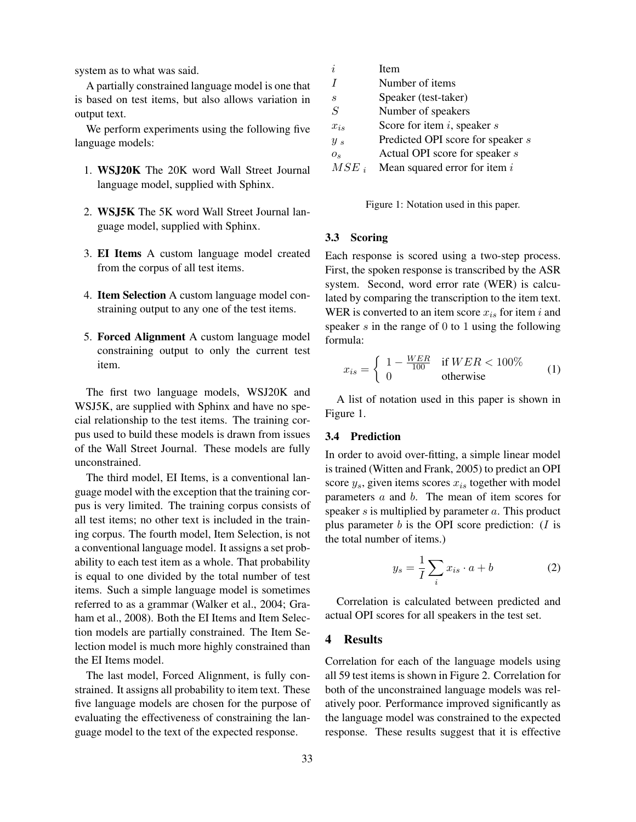system as to what was said.

A partially constrained language model is one that is based on test items, but also allows variation in output text.

We perform experiments using the following five language models:

- 1. WSJ20K The 20K word Wall Street Journal language model, supplied with Sphinx.
- 2. WSJ5K The 5K word Wall Street Journal language model, supplied with Sphinx.
- 3. EI Items A custom language model created from the corpus of all test items.
- 4. Item Selection A custom language model constraining output to any one of the test items.
- 5. Forced Alignment A custom language model constraining output to only the current test item.

The first two language models, WSJ20K and WSJ5K, are supplied with Sphinx and have no special relationship to the test items. The training corpus used to build these models is drawn from issues of the Wall Street Journal. These models are fully unconstrained.

The third model, EI Items, is a conventional language model with the exception that the training corpus is very limited. The training corpus consists of all test items; no other text is included in the training corpus. The fourth model, Item Selection, is not a conventional language model. It assigns a set probability to each test item as a whole. That probability is equal to one divided by the total number of test items. Such a simple language model is sometimes referred to as a grammar (Walker et al., 2004; Graham et al., 2008). Both the EI Items and Item Selection models are partially constrained. The Item Selection model is much more highly constrained than the EI Items model.

The last model, Forced Alignment, is fully constrained. It assigns all probability to item text. These five language models are chosen for the purpose of evaluating the effectiveness of constraining the language model to the text of the expected response.

| i.        | Item                              |
|-----------|-----------------------------------|
| I         | Number of items                   |
| S         | Speaker (test-taker)              |
| S         | Number of speakers                |
| $x_{is}$  | Score for item $i$ , speaker $s$  |
| $y_s$     | Predicted OPI score for speaker s |
| $O_{S}$   | Actual OPI score for speaker s    |
| $MSE_{i}$ | Mean squared error for item $i$   |

Figure 1: Notation used in this paper.

#### 3.3 Scoring

Each response is scored using a two-step process. First, the spoken response is transcribed by the ASR system. Second, word error rate (WER) is calculated by comparing the transcription to the item text. WER is converted to an item score  $x_{is}$  for item i and speaker  $s$  in the range of  $0$  to  $1$  using the following formula:

$$
x_{is} = \begin{cases} 1 - \frac{WER}{100} & \text{if } WER < 100\% \\ 0 & \text{otherwise} \end{cases}
$$
 (1)

A list of notation used in this paper is shown in Figure 1.

#### 3.4 Prediction

In order to avoid over-fitting, a simple linear model is trained (Witten and Frank, 2005) to predict an OPI score  $y_s$ , given items scores  $x_{is}$  together with model parameters a and b. The mean of item scores for speaker  $s$  is multiplied by parameter  $a$ . This product plus parameter  $b$  is the OPI score prediction: ( $I$  is the total number of items.)

$$
y_s = \frac{1}{I} \sum_i x_{is} \cdot a + b \tag{2}
$$

Correlation is calculated between predicted and actual OPI scores for all speakers in the test set.

# 4 Results

Correlation for each of the language models using all 59 test items is shown in Figure 2. Correlation for both of the unconstrained language models was relatively poor. Performance improved significantly as the language model was constrained to the expected response. These results suggest that it is effective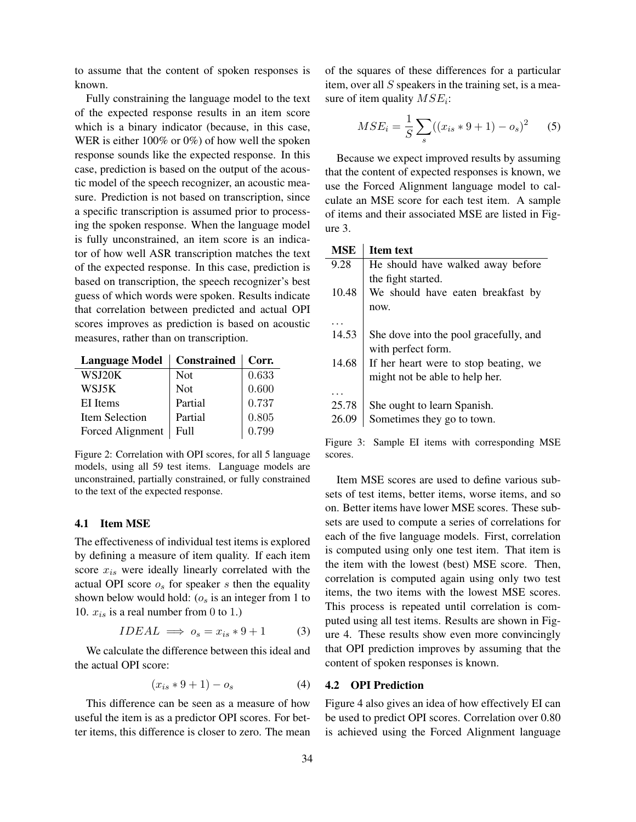to assume that the content of spoken responses is known.

Fully constraining the language model to the text of the expected response results in an item score which is a binary indicator (because, in this case, WER is either  $100\%$  or  $0\%$ ) of how well the spoken response sounds like the expected response. In this case, prediction is based on the output of the acoustic model of the speech recognizer, an acoustic measure. Prediction is not based on transcription, since a specific transcription is assumed prior to processing the spoken response. When the language model is fully unconstrained, an item score is an indicator of how well ASR transcription matches the text of the expected response. In this case, prediction is based on transcription, the speech recognizer's best guess of which words were spoken. Results indicate that correlation between predicted and actual OPI scores improves as prediction is based on acoustic measures, rather than on transcription.

| Language Model   Constrained   Corr. |            |       |
|--------------------------------------|------------|-------|
| WSJ20K                               | <b>Not</b> | 0.633 |
| WSJ5K                                | <b>Not</b> | 0.600 |
| EI Items                             | Partial    | 0.737 |
| Item Selection                       | Partial    | 0.805 |
| Forced Alignment                     | Full       | 0.799 |

Figure 2: Correlation with OPI scores, for all 5 language models, using all 59 test items. Language models are unconstrained, partially constrained, or fully constrained to the text of the expected response.

#### 4.1 Item MSE

The effectiveness of individual test items is explored by defining a measure of item quality. If each item score  $x_{is}$  were ideally linearly correlated with the actual OPI score  $o_s$  for speaker s then the equality shown below would hold:  $(o_s$  is an integer from 1 to 10.  $x_{is}$  is a real number from 0 to 1.)

$$
IDEAL \implies o_s = x_{is} * 9 + 1 \tag{3}
$$

We calculate the difference between this ideal and the actual OPI score:

$$
(x_{is}*9+1)-o_s \tag{4}
$$

This difference can be seen as a measure of how useful the item is as a predictor OPI scores. For better items, this difference is closer to zero. The mean of the squares of these differences for a particular item, over all  $S$  speakers in the training set, is a measure of item quality  $MSE_i$ :

$$
MSE_i = \frac{1}{S} \sum_{s} ((x_{is} * 9 + 1) - o_s)^2
$$
 (5)

Because we expect improved results by assuming that the content of expected responses is known, we use the Forced Alignment language model to calculate an MSE score for each test item. A sample of items and their associated MSE are listed in Figure 3.

#### MSE | Item text

| He should have walked away before      |
|----------------------------------------|
|                                        |
|                                        |
| We should have eaten breakfast by      |
|                                        |
|                                        |
| She dove into the pool gracefully, and |
|                                        |
| If her heart were to stop beating, we  |
|                                        |
|                                        |
|                                        |
|                                        |
|                                        |
|                                        |

Figure 3: Sample EI items with corresponding MSE scores.

Item MSE scores are used to define various subsets of test items, better items, worse items, and so on. Better items have lower MSE scores. These subsets are used to compute a series of correlations for each of the five language models. First, correlation is computed using only one test item. That item is the item with the lowest (best) MSE score. Then, correlation is computed again using only two test items, the two items with the lowest MSE scores. This process is repeated until correlation is computed using all test items. Results are shown in Figure 4. These results show even more convincingly that OPI prediction improves by assuming that the content of spoken responses is known.

#### 4.2 OPI Prediction

Figure 4 also gives an idea of how effectively EI can be used to predict OPI scores. Correlation over 0.80 is achieved using the Forced Alignment language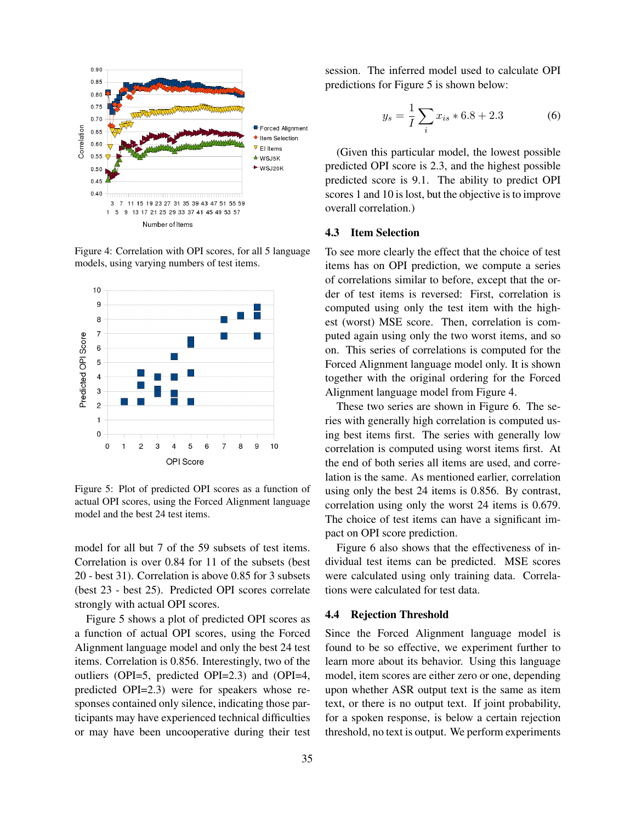

Figure 4: Correlation with OPI scores, for all 5 language models, using varying numbers of test items.



Figure 5: Plot of predicted OPI scores as a function of actual OPI scores, using the Forced Alignment language model and the best 24 test items.

model for all but 7 of the 59 subsets of test items. Correlation is over 0.84 for 11 of the subsets (best 20 - best 31). Correlation is above 0.85 for 3 subsets (best 23 - best 25). Predicted OPI scores correlate strongly with actual OPI scores.

Figure 5 shows a plot of predicted OPI scores as a function of actual OPI scores, using the Forced Alignment language model and only the best 24 test items. Correlation is 0.856. Interestingly, two of the outliers (OPI=5, predicted OPI=2.3) and (OPI=4, predicted OPI=2.3) were for speakers whose responses contained only silence, indicating those participants may have experienced technical difficulties or may have been uncooperative during their test session. The inferred model used to calculate OPI predictions for Figure 5 is shown below:

$$
y_s = \frac{1}{I} \sum_i x_{is} * 6.8 + 2.3
$$
 (6)

(Given this particular model, the lowest possible predicted OPI score is 2.3, and the highest possible predicted score is 9.1. The ability to predict OPI scores 1 and 10 is lost, but the objective is to improve overall correlation.)

#### 4.3 Item Selection

To see more clearly the effect that the choice of test items has on OPI prediction, we compute a series of correlations similar to before, except that the order of test items is reversed: First, correlation is computed using only the test item with the highest (worst) MSE score. Then, correlation is computed again using only the two worst items, and so on. This series of correlations is computed for the Forced Alignment language model only. It is shown together with the original ordering for the Forced Alignment language model from Figure 4.

These two series are shown in Figure 6. The series with generally high correlation is computed using best items first. The series with generally low correlation is computed using worst items first. At the end of both series all items are used, and correlation is the same. As mentioned earlier, correlation using only the best 24 items is 0.856. By contrast, correlation using only the worst 24 items is 0.679. The choice of test items can have a significant impact on OPI score prediction.

Figure 6 also shows that the effectiveness of individual test items can be predicted. MSE scores were calculated using only training data. Correlations were calculated for test data.

#### 4.4 Rejection Threshold

Since the Forced Alignment language model is found to be so effective, we experiment further to learn more about its behavior. Using this language model, item scores are either zero or one, depending upon whether ASR output text is the same as item text, or there is no output text. If joint probability, for a spoken response, is below a certain rejection threshold, no text is output. We perform experiments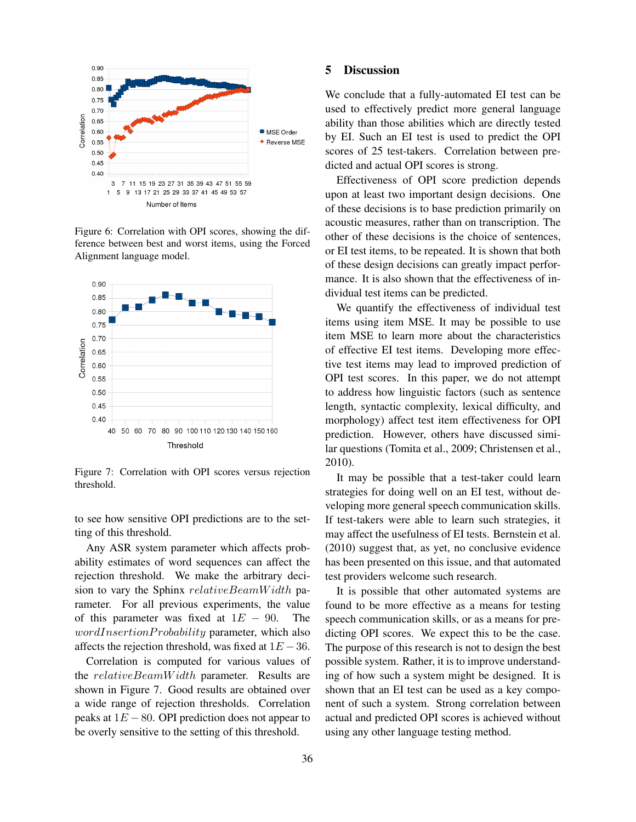

Figure 6: Correlation with OPI scores, showing the difference between best and worst items, using the Forced Alignment language model.



Figure 7: Correlation with OPI scores versus rejection threshold.

to see how sensitive OPI predictions are to the setting of this threshold.

Any ASR system parameter which affects probability estimates of word sequences can affect the rejection threshold. We make the arbitrary decision to vary the Sphinx  $relativeBeam Width$  parameter. For all previous experiments, the value of this parameter was fixed at  $1E - 90$ . The  $wordInsertionProbability$  parameter, which also affects the rejection threshold, was fixed at  $1E - 36$ .

Correlation is computed for various values of the *relativeBeamWidth* parameter. Results are shown in Figure 7. Good results are obtained over a wide range of rejection thresholds. Correlation peaks at  $1E - 80$ . OPI prediction does not appear to be overly sensitive to the setting of this threshold.

### 5 Discussion

We conclude that a fully-automated EI test can be used to effectively predict more general language ability than those abilities which are directly tested by EI. Such an EI test is used to predict the OPI scores of 25 test-takers. Correlation between predicted and actual OPI scores is strong.

Effectiveness of OPI score prediction depends upon at least two important design decisions. One of these decisions is to base prediction primarily on acoustic measures, rather than on transcription. The other of these decisions is the choice of sentences, or EI test items, to be repeated. It is shown that both of these design decisions can greatly impact performance. It is also shown that the effectiveness of individual test items can be predicted.

We quantify the effectiveness of individual test items using item MSE. It may be possible to use item MSE to learn more about the characteristics of effective EI test items. Developing more effective test items may lead to improved prediction of OPI test scores. In this paper, we do not attempt to address how linguistic factors (such as sentence length, syntactic complexity, lexical difficulty, and morphology) affect test item effectiveness for OPI prediction. However, others have discussed similar questions (Tomita et al., 2009; Christensen et al., 2010).

It may be possible that a test-taker could learn strategies for doing well on an EI test, without developing more general speech communication skills. If test-takers were able to learn such strategies, it may affect the usefulness of EI tests. Bernstein et al. (2010) suggest that, as yet, no conclusive evidence has been presented on this issue, and that automated test providers welcome such research.

It is possible that other automated systems are found to be more effective as a means for testing speech communication skills, or as a means for predicting OPI scores. We expect this to be the case. The purpose of this research is not to design the best possible system. Rather, it is to improve understanding of how such a system might be designed. It is shown that an EI test can be used as a key component of such a system. Strong correlation between actual and predicted OPI scores is achieved without using any other language testing method.